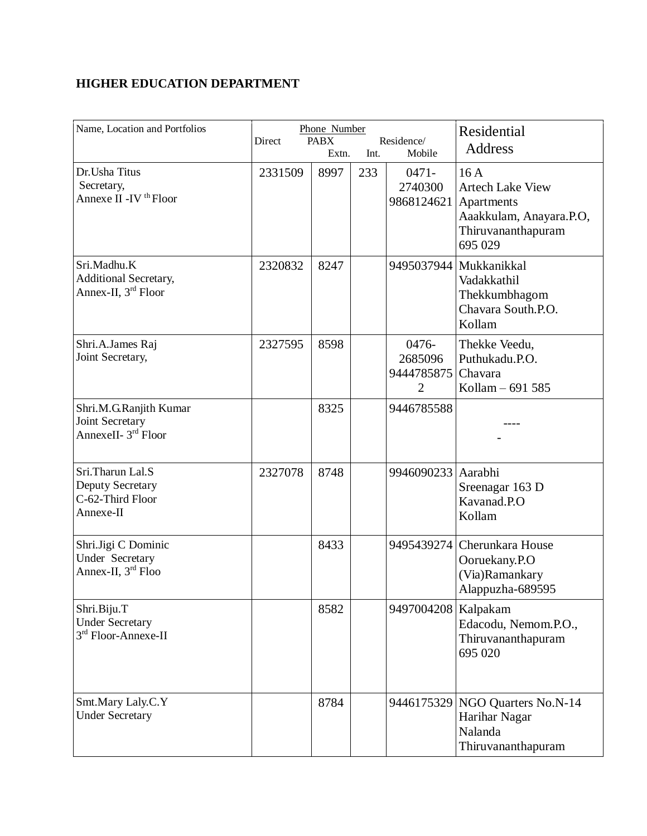## **HIGHER EDUCATION DEPARTMENT**

| Name, Location and Portfolios                                                | Phone Number<br><b>PABX</b><br>Residence/<br>Direct<br>Int.<br>Mobile<br>Extn. |      |     | <b>Residential</b><br>Address                    |                                                                                                          |
|------------------------------------------------------------------------------|--------------------------------------------------------------------------------|------|-----|--------------------------------------------------|----------------------------------------------------------------------------------------------------------|
| Dr. Usha Titus<br>Secretary,<br>Annexe II - IV <sup>th</sup> Floor           | 2331509                                                                        | 8997 | 233 | $0471 -$<br>2740300<br>9868124621                | 16A<br><b>Artech Lake View</b><br>Apartments<br>Aaakkulam, Anayara.P.O,<br>Thiruvananthapuram<br>695 029 |
| Sri.Madhu.K<br>Additional Secretary,<br>Annex-II, 3 <sup>rd</sup> Floor      | 2320832                                                                        | 8247 |     | 9495037944                                       | Mukkanikkal<br>Vadakkathil<br>Thekkumbhagom<br>Chavara South.P.O.<br>Kollam                              |
| Shri.A.James Raj<br>Joint Secretary,                                         | 2327595                                                                        | 8598 |     | 0476-<br>2685096<br>9444785875<br>$\overline{2}$ | Thekke Veedu,<br>Puthukadu.P.O.<br>Chavara<br>Kollam - 691 585                                           |
| Shri.M.G.Ranjith Kumar<br>Joint Secretary<br>AnnexeII- 3 <sup>rd</sup> Floor |                                                                                | 8325 |     | 9446785588                                       |                                                                                                          |
| Sri.Tharun Lal.S<br>Deputy Secretary<br>C-62-Third Floor<br>Annexe-II        | 2327078                                                                        | 8748 |     | 9946090233 Aarabhi                               | Sreenagar 163 D<br>Kavanad.P.O<br>Kollam                                                                 |
| Shri.Jigi C Dominic<br>Under Secretary<br>Annex-II, 3rd Floo                 |                                                                                | 8433 |     | 9495439274                                       | Cherunkara House<br>Ooruekany.P.O<br>(Via)Ramankary<br>Alappuzha-689595                                  |
| Shri.Biju.T<br><b>Under Secretary</b><br>3rd Floor-Annexe-II                 |                                                                                | 8582 |     | 9497004208                                       | Kalpakam<br>Edacodu, Nemom.P.O.,<br>Thiruvananthapuram<br>695 020                                        |
| Smt.Mary Laly.C.Y<br><b>Under Secretary</b>                                  |                                                                                | 8784 |     | 9446175329                                       | NGO Quarters No.N-14<br>Harihar Nagar<br>Nalanda<br>Thiruvananthapuram                                   |